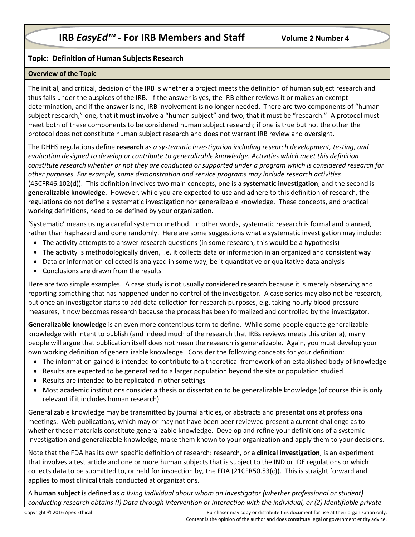# **IRB** *EasyEd<sup>™</sup> - For IRB Members and Staff be and Volume 2 Number 4*

## **Topic: Definition of Human Subjects Research**

#### **Overview of the Topic**

The initial, and critical, decision of the IRB is whether a project meets the definition of human subject research and thus falls under the auspices of the IRB. If the answer is yes, the IRB either reviews it or makes an exempt determination, and if the answer is no, IRB involvement is no longer needed. There are two components of "human subject research," one, that it must involve a "human subject" and two, that it must be "research." A protocol must meet both of these components to be considered human subject research; if one is true but not the other the protocol does not constitute human subject research and does not warrant IRB review and oversight.

The DHHS regulations define **research** as *a systematic investigation including research development, testing, and evaluation designed to develop or contribute to generalizable knowledge. Activities which meet this definition constitute research whether or not they are conducted or supported under a program which is considered research for other purposes. For example, some demonstration and service programs may include research activities*  (45CFR46.102(d)). This definition involves two main concepts, one is a **systematic investigation**, and the second is **generalizable knowledge**. However, while you are expected to use and adhere to this definition of research, the regulations do not define a systematic investigation nor generalizable knowledge. These concepts, and practical working definitions, need to be defined by your organization.

'Systematic' means using a careful system or method. In other words, systematic research is formal and planned, rather than haphazard and done randomly. Here are some suggestions what a systematic investigation may include:

- The activity attempts to answer research questions (in some research, this would be a hypothesis)
- The activity is methodologically driven, i.e. it collects data or information in an organized and consistent way
- Data or information collected is analyzed in some way, be it quantitative or qualitative data analysis
- Conclusions are drawn from the results

Here are two simple examples. A case study is not usually considered research because it is merely observing and reporting something that has happened under no control of the investigator. A case series may also not be research, but once an investigator starts to add data collection for research purposes, e.g. taking hourly blood pressure measures, it now becomes research because the process has been formalized and controlled by the investigator.

**Generalizable knowledge** is an even more contentious term to define. While some people equate generalizable knowledge with intent to publish (and indeed much of the research that IRBs reviews meets this criteria), many people will argue that publication itself does not mean the research is generalizable. Again, you must develop your own working definition of generalizable knowledge. Consider the following concepts for your definition:

- The information gained is intended to contribute to a theoretical framework of an established body of knowledge
- Results are expected to be generalized to a larger population beyond the site or population studied
- Results are intended to be replicated in other settings
- Most academic institutions consider a thesis or dissertation to be generalizable knowledge (of course this is only relevant if it includes human research).

Generalizable knowledge may be transmitted by journal articles, or abstracts and presentations at professional meetings. Web publications, which may or may not have been peer reviewed present a current challenge as to whether these materials constitute generalizable knowledge. Develop and refine your definitions of a systemic investigation and generalizable knowledge, make them known to your organization and apply them to your decisions.

Note that the FDA has its own specific definition of research: research, or a **clinical investigation**, is an experiment that involves a test article and one or more human subjects that is subject to the IND or IDE regulations or which collects data to be submitted to, or held for inspection by, the FDA (21CFR50.53(c)). This is straight forward and applies to most clinical trials conducted at organizations.

A **human subject** is defined as *a living individual about whom an investigator (whether professional or student) conducting research obtains (I) Data through intervention or interaction with the individual, or (2) Identifiable private*